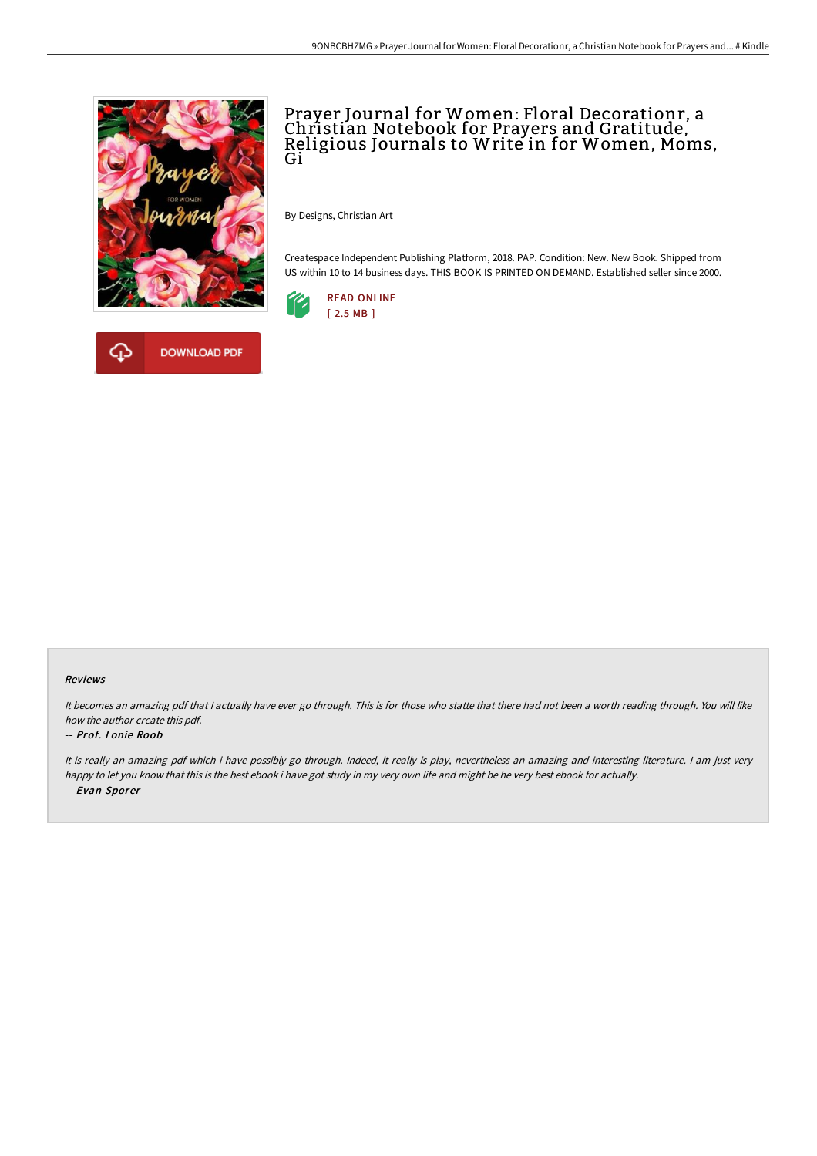

## Prayer Journal for Women: Floral Decorationr, a Christian Notebook for Prayers and Gratitude, Religious Journals to Write in for Women, Moms,<br>Gi

By Designs, Christian Art

Createspace Independent Publishing Platform, 2018. PAP. Condition: New. New Book. Shipped from US within 10 to 14 business days. THIS BOOK IS PRINTED ON DEMAND. Established seller since 2000.





## Reviews

It becomes an amazing pdf that <sup>I</sup> actually have ever go through. This is for those who statte that there had not been <sup>a</sup> worth reading through. You will like how the author create this pdf.

## -- Prof. Lonie Roob

It is really an amazing pdf which i have possibly go through. Indeed, it really is play, nevertheless an amazing and interesting literature. <sup>I</sup> am just very happy to let you know that this is the best ebook i have got study in my very own life and might be he very best ebook for actually. -- Evan Sporer